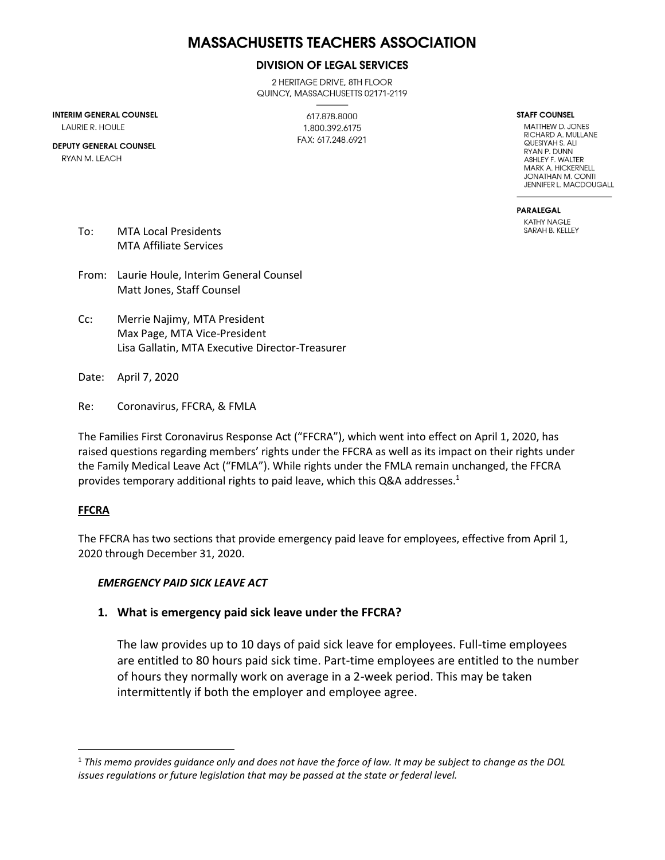# **MASSACHUSETTS TEACHERS ASSOCIATION**

#### **DIVISION OF LEGAL SERVICES**

2 HERITAGE DRIVE, 8TH FLOOR QUINCY, MASSACHUSETTS 02171-2119

**INTERIM GENERAL COUNSEL** 

**LAURIE R. HOULE** 

**DEPUTY GENERAL COUNSEL** RYAN M. LEACH

617.878.8000 1.800.392.6175 FAX: 617.248.6921 **STAFF COUNSEL** 

MATTHEW D. JONES RICHARD A. MULLANE QUESIYAH S. ALI RYAN P. DUNN ASHLEY F. WALTER MARK A HICKFRNFII **JONATHAN M. CONTI** JENNIFER L. MACDOUGALL

**PARALEGAL KATHY NAGLE** SARAH B. KELLEY

- To: MTA Local Presidents MTA Affiliate Services
- From: Laurie Houle, Interim General Counsel Matt Jones, Staff Counsel
- Cc: Merrie Najimy, MTA President Max Page, MTA Vice-President Lisa Gallatin, MTA Executive Director-Treasurer

Date: April 7, 2020

Re: Coronavirus, FFCRA, & FMLA

The Families First Coronavirus Response Act ("FFCRA"), which went into effect on April 1, 2020, has raised questions regarding members' rights under the FFCRA as well as its impact on their rights under the Family Medical Leave Act ("FMLA"). While rights under the FMLA remain unchanged, the FFCRA provides temporary additional rights to paid leave, which this Q&A addresses.<sup>1</sup>

#### **FFCRA**

The FFCRA has two sections that provide emergency paid leave for employees, effective from April 1, 2020 through December 31, 2020.

#### *EMERGENCY PAID SICK LEAVE ACT*

#### **1. What is emergency paid sick leave under the FFCRA?**

The law provides up to 10 days of paid sick leave for employees. Full-time employees are entitled to 80 hours paid sick time. Part-time employees are entitled to the number of hours they normally work on average in a 2-week period. This may be taken intermittently if both the employer and employee agree.

<sup>1</sup> *This memo provides guidance only and does not have the force of law. It may be subject to change as the DOL issues regulations or future legislation that may be passed at the state or federal level.*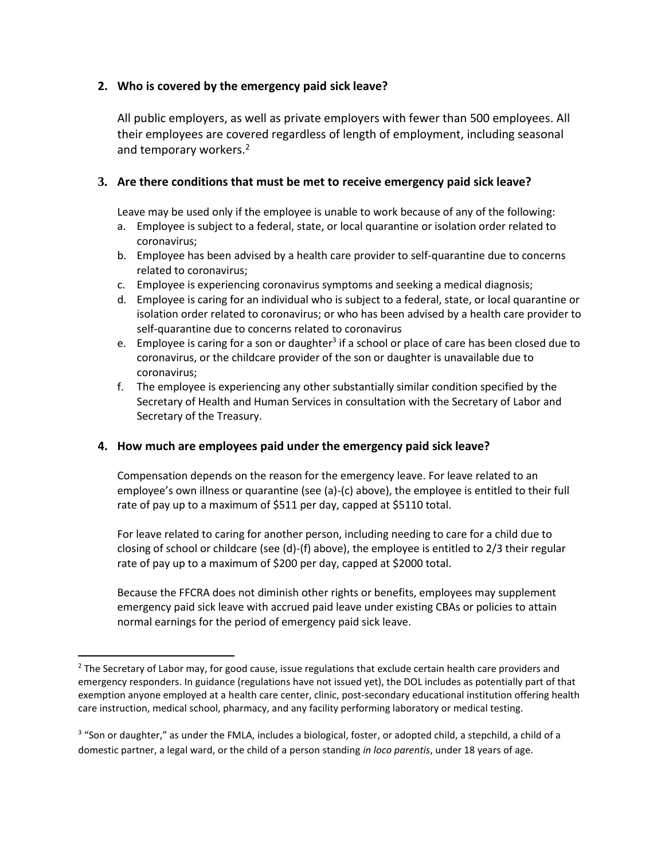#### **2. Who is covered by the emergency paid sick leave?**

All public employers, as well as private employers with fewer than 500 employees. All their employees are covered regardless of length of employment, including seasonal and temporary workers.<sup>2</sup>

#### **3. Are there conditions that must be met to receive emergency paid sick leave?**

Leave may be used only if the employee is unable to work because of any of the following:

- a. Employee is subject to a federal, state, or local quarantine or isolation order related to coronavirus;
- b. Employee has been advised by a health care provider to self-quarantine due to concerns related to coronavirus;
- c. Employee is experiencing coronavirus symptoms and seeking a medical diagnosis;
- d. Employee is caring for an individual who is subject to a federal, state, or local quarantine or isolation order related to coronavirus; or who has been advised by a health care provider to self-quarantine due to concerns related to coronavirus
- e. Employee is caring for a son or daughter<sup>3</sup> if a school or place of care has been closed due to coronavirus, or the childcare provider of the son or daughter is unavailable due to coronavirus;
- f. The employee is experiencing any other substantially similar condition specified by the Secretary of Health and Human Services in consultation with the Secretary of Labor and Secretary of the Treasury.

### **4. How much are employees paid under the emergency paid sick leave?**

Compensation depends on the reason for the emergency leave. For leave related to an employee's own illness or quarantine (see (a)-(c) above), the employee is entitled to their full rate of pay up to a maximum of \$511 per day, capped at \$5110 total.

For leave related to caring for another person, including needing to care for a child due to closing of school or childcare (see (d)-(f) above), the employee is entitled to 2/3 their regular rate of pay up to a maximum of \$200 per day, capped at \$2000 total.

Because the FFCRA does not diminish other rights or benefits, employees may supplement emergency paid sick leave with accrued paid leave under existing CBAs or policies to attain normal earnings for the period of emergency paid sick leave.

<sup>&</sup>lt;sup>2</sup> The Secretary of Labor may, for good cause, issue regulations that exclude certain health care providers and emergency responders. In guidance (regulations have not issued yet), the DOL includes as potentially part of that exemption anyone employed at a health care center, clinic, post-secondary educational institution offering health care instruction, medical school, pharmacy, and any facility performing laboratory or medical testing.

 $3$  "Son or daughter," as under the FMLA, includes a biological, foster, or adopted child, a stepchild, a child of a domestic partner, a legal ward, or the child of a person standing *in loco parentis*, under 18 years of age.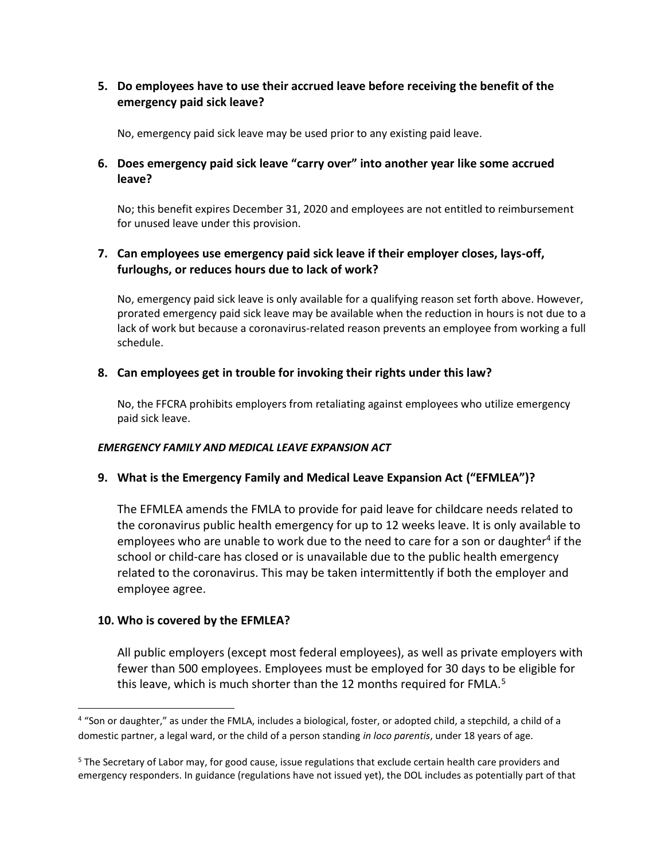### **5. Do employees have to use their accrued leave before receiving the benefit of the emergency paid sick leave?**

No, emergency paid sick leave may be used prior to any existing paid leave.

### **6. Does emergency paid sick leave "carry over" into another year like some accrued leave?**

No; this benefit expires December 31, 2020 and employees are not entitled to reimbursement for unused leave under this provision.

### **7. Can employees use emergency paid sick leave if their employer closes, lays-off, furloughs, or reduces hours due to lack of work?**

No, emergency paid sick leave is only available for a qualifying reason set forth above. However, prorated emergency paid sick leave may be available when the reduction in hours is not due to a lack of work but because a coronavirus-related reason prevents an employee from working a full schedule.

### **8. Can employees get in trouble for invoking their rights under this law?**

No, the FFCRA prohibits employers from retaliating against employees who utilize emergency paid sick leave.

#### *EMERGENCY FAMILY AND MEDICAL LEAVE EXPANSION ACT*

#### **9. What is the Emergency Family and Medical Leave Expansion Act ("EFMLEA")?**

The EFMLEA amends the FMLA to provide for paid leave for childcare needs related to the coronavirus public health emergency for up to 12 weeks leave. It is only available to employees who are unable to work due to the need to care for a son or daughter<sup>4</sup> if the school or child-care has closed or is unavailable due to the public health emergency related to the coronavirus. This may be taken intermittently if both the employer and employee agree.

#### **10. Who is covered by the EFMLEA?**

All public employers (except most federal employees), as well as private employers with fewer than 500 employees. Employees must be employed for 30 days to be eligible for this leave, which is much shorter than the 12 months required for FMLA.<sup>5</sup>

<sup>&</sup>lt;sup>4</sup> "Son or daughter," as under the FMLA, includes a biological, foster, or adopted child, a stepchild, a child of a domestic partner, a legal ward, or the child of a person standing *in loco parentis*, under 18 years of age.

<sup>&</sup>lt;sup>5</sup> The Secretary of Labor may, for good cause, issue regulations that exclude certain health care providers and emergency responders. In guidance (regulations have not issued yet), the DOL includes as potentially part of that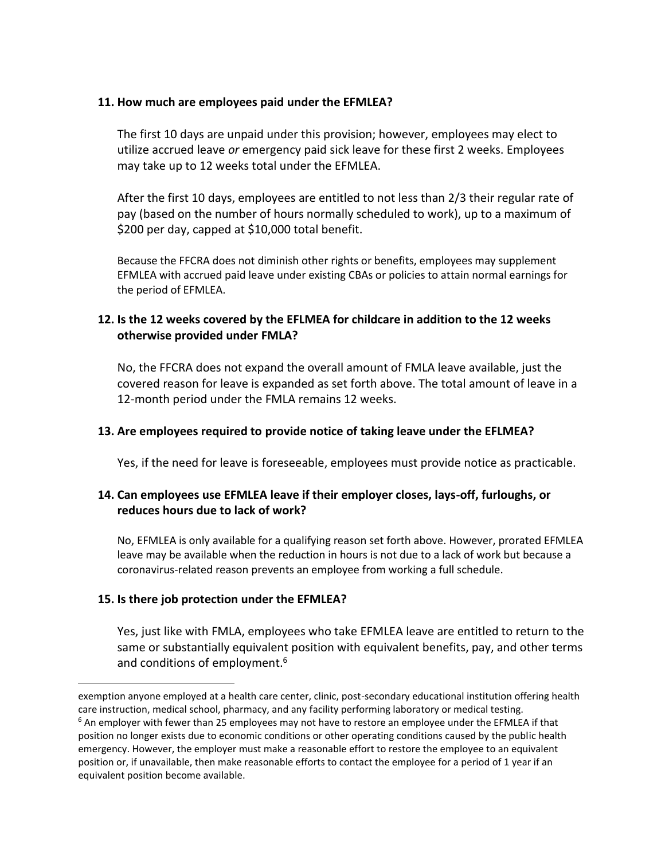#### **11. How much are employees paid under the EFMLEA?**

The first 10 days are unpaid under this provision; however, employees may elect to utilize accrued leave *or* emergency paid sick leave for these first 2 weeks. Employees may take up to 12 weeks total under the EFMLEA.

After the first 10 days, employees are entitled to not less than 2/3 their regular rate of pay (based on the number of hours normally scheduled to work), up to a maximum of \$200 per day, capped at \$10,000 total benefit.

Because the FFCRA does not diminish other rights or benefits, employees may supplement EFMLEA with accrued paid leave under existing CBAs or policies to attain normal earnings for the period of EFMLEA.

### **12. Is the 12 weeks covered by the EFLMEA for childcare in addition to the 12 weeks otherwise provided under FMLA?**

No, the FFCRA does not expand the overall amount of FMLA leave available, just the covered reason for leave is expanded as set forth above. The total amount of leave in a 12-month period under the FMLA remains 12 weeks.

#### **13. Are employees required to provide notice of taking leave under the EFLMEA?**

Yes, if the need for leave is foreseeable, employees must provide notice as practicable.

### **14. Can employees use EFMLEA leave if their employer closes, lays-off, furloughs, or reduces hours due to lack of work?**

No, EFMLEA is only available for a qualifying reason set forth above. However, prorated EFMLEA leave may be available when the reduction in hours is not due to a lack of work but because a coronavirus-related reason prevents an employee from working a full schedule.

#### **15. Is there job protection under the EFMLEA?**

Yes, just like with FMLA, employees who take EFMLEA leave are entitled to return to the same or substantially equivalent position with equivalent benefits, pay, and other terms and conditions of employment.<sup>6</sup>

exemption anyone employed at a health care center, clinic, post-secondary educational institution offering health care instruction, medical school, pharmacy, and any facility performing laboratory or medical testing.

 $6$  An employer with fewer than 25 employees may not have to restore an employee under the EFMLEA if that position no longer exists due to economic conditions or other operating conditions caused by the public health emergency. However, the employer must make a reasonable effort to restore the employee to an equivalent position or, if unavailable, then make reasonable efforts to contact the employee for a period of 1 year if an equivalent position become available.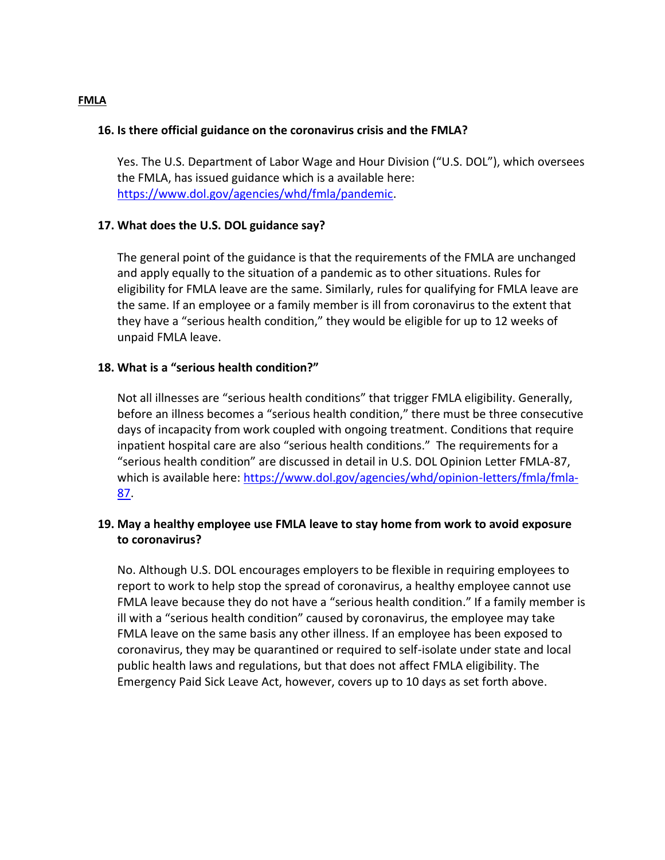#### **FMLA**

#### **16. Is there official guidance on the coronavirus crisis and the FMLA?**

Yes. The U.S. Department of Labor Wage and Hour Division ("U.S. DOL"), which oversees the FMLA, has issued guidance which is a available here: [https://www.dol.gov/agencies/whd/fmla/pandemic.](https://www.dol.gov/agencies/whd/fmla/pandemic)

#### **17. What does the U.S. DOL guidance say?**

The general point of the guidance is that the requirements of the FMLA are unchanged and apply equally to the situation of a pandemic as to other situations. Rules for eligibility for FMLA leave are the same. Similarly, rules for qualifying for FMLA leave are the same. If an employee or a family member is ill from coronavirus to the extent that they have a "serious health condition," they would be eligible for up to 12 weeks of unpaid FMLA leave.

#### **18. What is a "serious health condition?"**

Not all illnesses are "serious health conditions" that trigger FMLA eligibility. Generally, before an illness becomes a "serious health condition," there must be three consecutive days of incapacity from work coupled with ongoing treatment. Conditions that require inpatient hospital care are also "serious health conditions." The requirements for a "serious health condition" are discussed in detail in U.S. DOL Opinion Letter FMLA-87, which is available here: [https://www.dol.gov/agencies/whd/opinion-letters/fmla/fmla-](https://www.dol.gov/agencies/whd/opinion-letters/fmla/fmla-87)[87.](https://www.dol.gov/agencies/whd/opinion-letters/fmla/fmla-87)

### **19. May a healthy employee use FMLA leave to stay home from work to avoid exposure to coronavirus?**

No. Although U.S. DOL encourages employers to be flexible in requiring employees to report to work to help stop the spread of coronavirus, a healthy employee cannot use FMLA leave because they do not have a "serious health condition." If a family member is ill with a "serious health condition" caused by coronavirus, the employee may take FMLA leave on the same basis any other illness. If an employee has been exposed to coronavirus, they may be quarantined or required to self-isolate under state and local public health laws and regulations, but that does not affect FMLA eligibility. The Emergency Paid Sick Leave Act, however, covers up to 10 days as set forth above.